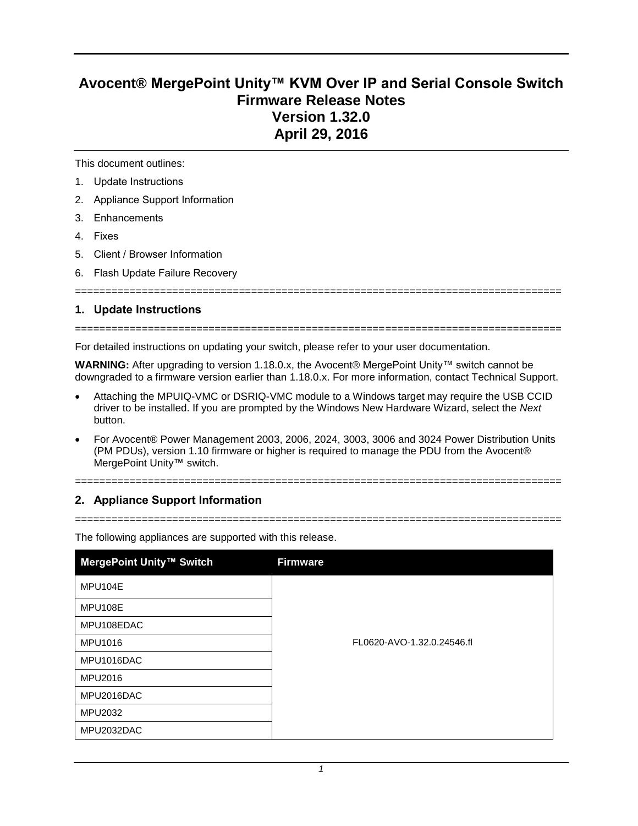# **Avocent® MergePoint Unity™ KVM Over IP and Serial Console Switch Firmware Release Notes Version 1.32.0 April 29, 2016**

This document outlines:

- 1. Update Instructions
- 2. Appliance Support Information
- 3. Enhancements
- 4. Fixes
- 5. Client / Browser Information
- 6. Flash Update Failure Recovery

================================================================================

### **1. Update Instructions**

================================================================================

For detailed instructions on updating your switch, please refer to your user documentation.

**WARNING:** After upgrading to version 1.18.0.x, the Avocent® MergePoint Unity™ switch cannot be downgraded to a firmware version earlier than 1.18.0.x. For more information, contact Technical Support.

- Attaching the MPUIQ-VMC or DSRIQ-VMC module to a Windows target may require the USB CCID driver to be installed. If you are prompted by the Windows New Hardware Wizard, select the *Next* button.
- For Avocent® Power Management 2003, 2006, 2024, 3003, 3006 and 3024 Power Distribution Units (PM PDUs), version 1.10 firmware or higher is required to manage the PDU from the Avocent® MergePoint Unity™ switch.

### **2. Appliance Support Information**

================================================================================

================================================================================

The following appliances are supported with this release.

| MergePoint Unity™ Switch | <b>Firmware</b>            |
|--------------------------|----------------------------|
| MPU104E                  |                            |
| <b>MPU108E</b>           |                            |
| MPU108EDAC               |                            |
| MPU1016                  | FL0620-AVO-1.32.0.24546.fl |
| MPU1016DAC               |                            |
| MPU2016                  |                            |
| MPU2016DAC               |                            |
| MPU2032                  |                            |
| MPU2032DAC               |                            |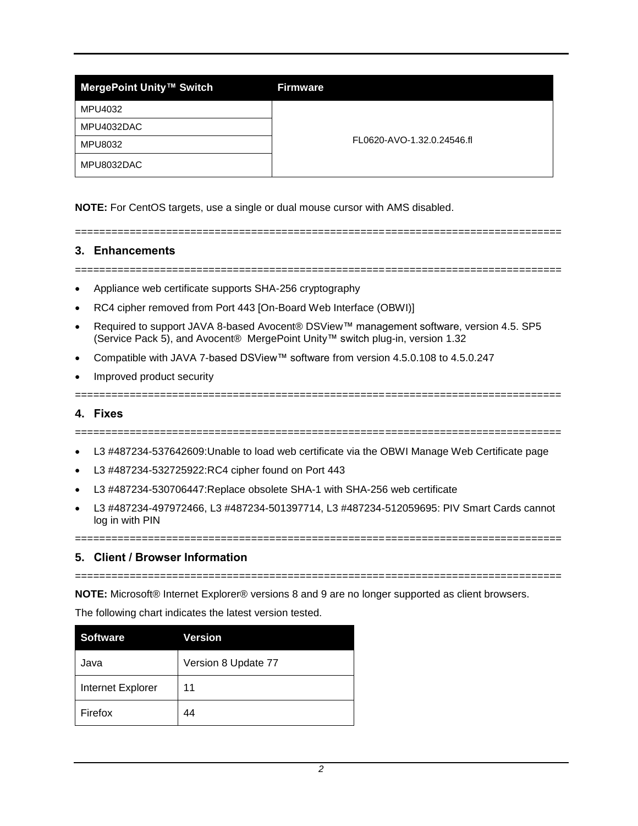| MergePoint Unity™ Switch | <b>Firmware</b>            |
|--------------------------|----------------------------|
| MPU4032                  |                            |
| MPU4032DAC               |                            |
| MPU8032                  | FL0620-AVO-1.32.0.24546.fl |
| MPU8032DAC               |                            |

**NOTE:** For CentOS targets, use a single or dual mouse cursor with AMS disabled.

## **3. Enhancements**

================================

================================================================================

- Appliance web certificate supports SHA-256 cryptography
- RC4 cipher removed from Port 443 [On-Board Web Interface (OBWI)]
- Required to support JAVA 8-based Avocent® DSView™ management software, version 4.5. SP5 (Service Pack 5), and Avocent® MergePoint Unity™ switch plug-in, version 1.32
- Compatible with JAVA 7-based DSView™ software from version 4.5.0.108 to 4.5.0.247
- Improved product security

# ================================================================================

### **4. Fixes**

================================================================================

- L3 #487234-537642609:Unable to load web certificate via the OBWI Manage Web Certificate page
- L3 #487234-532725922:RC4 cipher found on Port 443
- L3 #487234-530706447:Replace obsolete SHA-1 with SHA-256 web certificate
- L3 #487234-497972466, L3 #487234-501397714, L3 #487234-512059695: PIV Smart Cards cannot log in with PIN

================================================================================

### **5. Client / Browser Information**

================================================================================

**NOTE:** Microsoft® Internet Explorer® versions 8 and 9 are no longer supported as client browsers.

The following chart indicates the latest version tested.

| <b>Software</b>   | <b>Version</b>      |
|-------------------|---------------------|
| Java              | Version 8 Update 77 |
| Internet Explorer | 11                  |
| Firefox           | 44                  |